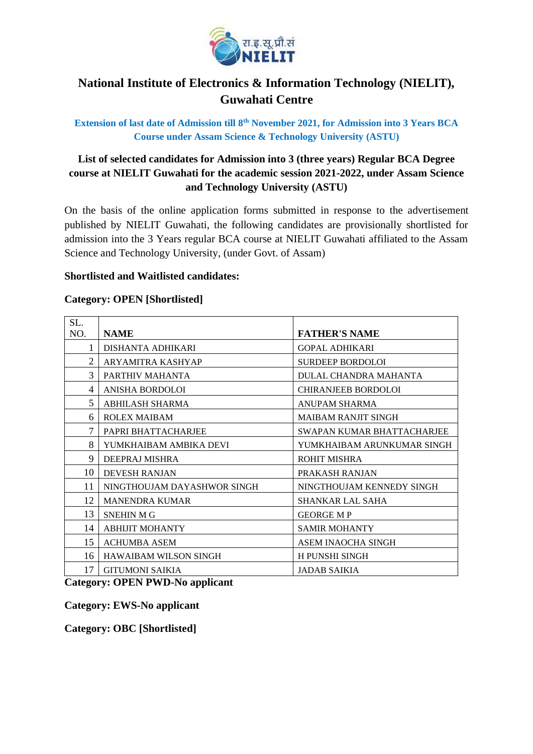

## **National Institute of Electronics & Information Technology (NIELIT), Guwahati Centre**

**Extension of last date of Admission till 8th November 2021, for Admission into 3 Years BCA Course under Assam Science & Technology University (ASTU)** 

### **List of selected candidates for Admission into 3 (three years) Regular BCA Degree course at NIELIT Guwahati for the academic session 2021-2022, under Assam Science and Technology University (ASTU)**

On the basis of the online application forms submitted in response to the advertisement published by NIELIT Guwahati, the following candidates are provisionally shortlisted for admission into the 3 Years regular BCA course at NIELIT Guwahati affiliated to the Assam Science and Technology University, (under Govt. of Assam)

### **Shortlisted and Waitlisted candidates:**

### **Category: OPEN [Shortlisted]**

| SL.            |                              |                            |
|----------------|------------------------------|----------------------------|
| NO.            | <b>NAME</b>                  | <b>FATHER'S NAME</b>       |
|                | DISHANTA ADHIKARI            | <b>GOPAL ADHIKARI</b>      |
| $\overline{2}$ | ARYAMITRA KASHYAP            | <b>SURDEEP BORDOLOI</b>    |
| 3              | PARTHIV MAHANTA              | DULAL CHANDRA MAHANTA      |
| 4              | ANISHA BORDOLOI              | <b>CHIRANJEEB BORDOLOI</b> |
| 5              | <b>ABHILASH SHARMA</b>       | <b>ANUPAM SHARMA</b>       |
| 6              | <b>ROLEX MAIBAM</b>          | MAIBAM RANJIT SINGH        |
| $\overline{7}$ | PAPRI BHATTACHARJEE          | SWAPAN KUMAR BHATTACHARJEE |
| 8              | YUMKHAIBAM AMBIKA DEVI       | YUMKHAIBAM ARUNKUMAR SINGH |
| 9              | DEEPRAJ MISHRA               | <b>ROHIT MISHRA</b>        |
| 10             | <b>DEVESH RANJAN</b>         | PRAKASH RANJAN             |
| 11             | NINGTHOUJAM DAYASHWOR SINGH  | NINGTHOUJAM KENNEDY SINGH  |
| 12             | <b>MANENDRA KUMAR</b>        | <b>SHANKAR LAL SAHA</b>    |
| 13             | <b>SNEHIN MG</b>             | <b>GEORGE M P</b>          |
| 14             | <b>ABHIJIT MOHANTY</b>       | <b>SAMIR MOHANTY</b>       |
| 15             | <b>ACHUMBA ASEM</b>          | ASEM INAOCHA SINGH         |
| 16             | <b>HAWAIBAM WILSON SINGH</b> | <b>H PUNSHI SINGH</b>      |
| 17             | <b>GITUMONI SAIKIA</b>       | <b>JADAB SAIKIA</b>        |

**Category: OPEN PWD-No applicant**

**Category: EWS-No applicant**

**Category: OBC [Shortlisted]**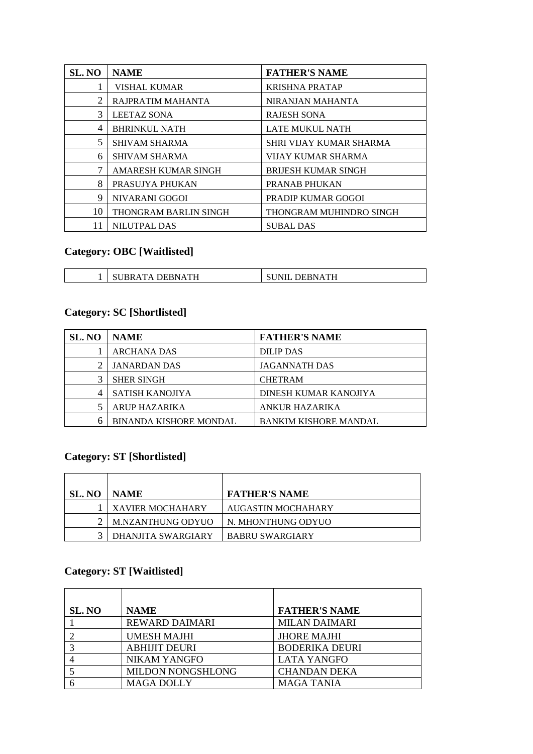| SL. NO | <b>NAME</b>                | <b>FATHER'S NAME</b>       |
|--------|----------------------------|----------------------------|
|        | VISHAL KUMAR               | <b>KRISHNA PRATAP</b>      |
| 2      | RAJPRATIM MAHANTA          | NIRANJAN MAHANTA           |
| 3      | <b>LEETAZ SONA</b>         | <b>RAJESH SONA</b>         |
| 4      | <b>BHRINKUL NATH</b>       | <b>LATE MUKUL NATH</b>     |
| 5      | <b>SHIVAM SHARMA</b>       | SHRI VIJAY KUMAR SHARMA    |
| 6      | <b>SHIVAM SHARMA</b>       | <b>VIJAY KUMAR SHARMA</b>  |
| 7      | <b>AMARESH KUMAR SINGH</b> | <b>BRIJESH KUMAR SINGH</b> |
| 8      | PRASUJYA PHUKAN            | <b>PRANAB PHUKAN</b>       |
| 9      | NIVARANI GOGOI             | <b>PRADIP KUMAR GOGOI</b>  |
| 10     | THONGRAM BARLIN SINGH      | THONGRAM MUHINDRO SINGH    |
| 11     | <b>NILUTPAL DAS</b>        | <b>SUBAL DAS</b>           |

### **Category: OBC [Waitlisted]**

| ATTI<br>וח גונור<br>$\cdot$ $\lambda$<br>.<br>the contract of the contract of the contract of the contract of the contract of the contract of the contract of | $\pi$<br>$\cdot$<br>. |
|---------------------------------------------------------------------------------------------------------------------------------------------------------------|-----------------------|

# **Category: SC [Shortlisted]**

| SL. NO | <b>NAME</b>                   | <b>FATHER'S NAME</b>         |
|--------|-------------------------------|------------------------------|
|        | <b>ARCHANA DAS</b>            | <b>DILIP DAS</b>             |
|        | <b>JANARDAN DAS</b>           | <b>JAGANNATH DAS</b>         |
|        | <b>SHER SINGH</b>             | <b>CHETRAM</b>               |
|        | <b>SATISH KANOJIYA</b>        | DINESH KUMAR KANOJIYA        |
|        | <b>ARUP HAZARIKA</b>          | ANKUR HAZARIKA               |
|        | <b>BINANDA KISHORE MONDAL</b> | <b>BANKIM KISHORE MANDAL</b> |

### **Category: ST [Shortlisted]**

| SL. NO | <b>NAME</b>               | <b>FATHER'S NAME</b>   |
|--------|---------------------------|------------------------|
|        | <b>I XAVIER MOCHAHARY</b> | AUGASTIN MOCHAHARY     |
|        | M.NZANTHUNG ODYUO         | N. MHONTHUNG ODYUO     |
|        | DHANJITA SWARGIARY        | <b>BABRU SWARGIARY</b> |

### **Category: ST [Waitlisted]**

| SL. NO | <b>NAME</b>           | <b>FATHER'S NAME</b>  |
|--------|-----------------------|-----------------------|
|        | <b>REWARD DAIMARI</b> | <b>MILAN DAIMARI</b>  |
|        | UMESH MAJHI           | <b>JHORE MAJHI</b>    |
|        | <b>ABHIJIT DEURI</b>  | <b>BODERIKA DEURI</b> |
|        | NIKAM YANGFO          | LATA YANGFO           |
|        | MILDON NONGSHLONG     | <b>CHANDAN DEKA</b>   |
|        | <b>MAGA DOLLY</b>     | <b>MAGA TANIA</b>     |